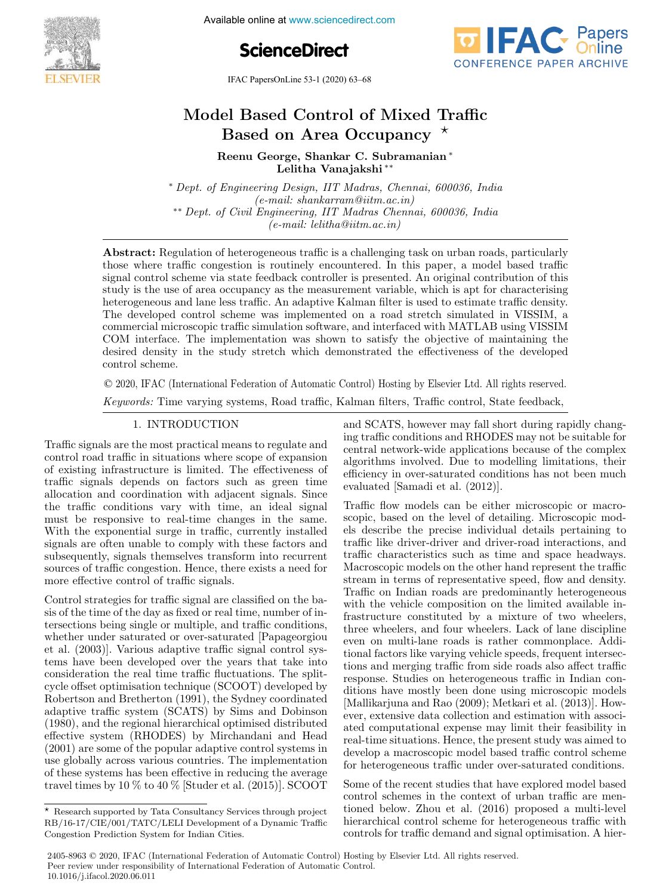

Available online at www.sciencedirect.com





IFAC PapersOnLine 53-1 (2020) 63–68



# Model Based Control of Mixed Traffic Based on Area Occupancy  $\star$

Reenu George, Shankar C. Subramanian <sup>∗</sup> Lelitha Vanajakshi ∗∗

<sup>∗</sup> Dept. of Engineering Design, IIT Madras, Chennai, 600036, India (e-mail: shankarram@iitm.ac.in) ∗∗ Dept. of Civil Engineering, IIT Madras Chennai, 600036, India (e-mail: lelitha@iitm.ac.in)

Abstract: Regulation of heterogeneous traffic is a challenging task on urban roads, particularly those where traffic congestion is routinely encountered. In this paper, a model based traffic signal control scheme via state feedback controller is presented. An original contribution of this study is the use of area occupancy as the measurement variable, which is apt for characterising heterogeneous and lane less traffic. An adaptive Kalman filter is used to estimate traffic density. The developed control scheme was implemented on a road stretch simulated in VISSIM, a commercial microscopic traffic simulation software, and interfaced with MATLAB using VISSIM COM interface. The implementation was shown to satisfy the objective of maintaining the desired density in the study stretch which demonstrated the effectiveness of the developed control scheme.

© 2020, IFAC (International Federation of Automatic Control) Hosting by Elsevier Ltd. All rights reserved.

Keywords: Time varying systems, Road traffic, Kalman filters, Traffic control, State feedback,

Traffic signals are the most practical means to regulate and control road traffic in situations where scope of expansion of existing infrastructure is limited. The effectiveness of traffic signals depends on factors such as green time allocation and coordination with adjacent signals. Since the traffic conditions vary with time, an ideal signal must be responsive to real-time changes in the same. With the exponential surge in traffic, currently installed signals are often unable to comply with these factors and subsequently, signals themselves transform into recurrent sources of traffic congestion. Hence, there exists a need for more effective control of traffic signals.

Control strategies for traffic signal are classified on the basis of the time of the day as fixed or real time, number of intersections being single or multiple, and traffic conditions, whether under saturated or over-saturated [Papageorgiou et al. (2003)]. Various adaptive traffic signal control systems have been developed over the years that take into consideration the real time traffic fluctuations. The splitcycle offset optimisation technique (SCOOT) developed by Robertson and Bretherton (1991), the Sydney coordinated adaptive traffic system (SCATS) by Sims and Dobinson (1980), and the regional hierarchical optimised distributed effective system (RHODES) by Mirchandani and Head (2001) are some of the popular adaptive control systems in use globally across various countries. The implementation of these systems has been effective in reducing the average travel times by 10 % to 40 % [Studer et al. (2015)]. SCOOT

1. INTRODUCTION and SCATS, however may fall short during rapidly changing traffic conditions and RHODES may not be suitable for central network-wide applications because of the complex algorithms involved. Due to modelling limitations, their efficiency in over-saturated conditions has not been much evaluated [Samadi et al. (2012)].

> Traffic flow models can be either microscopic or macroscopic, based on the level of detailing. Microscopic models describe the precise individual details pertaining to traffic like driver-driver and driver-road interactions, and traffic characteristics such as time and space headways. Macroscopic models on the other hand represent the traffic stream in terms of representative speed, flow and density. Traffic on Indian roads are predominantly heterogeneous with the vehicle composition on the limited available infrastructure constituted by a mixture of two wheelers, three wheelers, and four wheelers. Lack of lane discipline even on multi-lane roads is rather commonplace. Additional factors like varying vehicle speeds, frequent intersections and merging traffic from side roads also affect traffic response. Studies on heterogeneous traffic in Indian conditions have mostly been done using microscopic models [Mallikarjuna and Rao (2009); Metkari et al. (2013)]. However, extensive data collection and estimation with associated computational expense may limit their feasibility in real-time situations. Hence, the present study was aimed to develop a macroscopic model based traffic control scheme for heterogeneous traffic under over-saturated conditions.

> Some of the recent studies that have explored model based control schemes in the context of urban traffic are mentioned below. Zhou et al. (2016) proposed a multi-level hierarchical control scheme for heterogeneous traffic with controls for traffic demand and signal optimisation. A hier-

<sup>⋆</sup> Research supported by Tata Consultancy Services through project RB/16-17/CIE/001/TATC/LELI Development of a Dynamic Traffic Congestion Prediction System for Indian Cities.

<sup>2405-8963</sup> © 2020, IFAC (International Federation of Automatic Control) Hosting by Elsevier Ltd. All rights reserved. Peer review under responsibility of International Federation of Automatic Control. 10.1016/j.ifacol.2020.06.011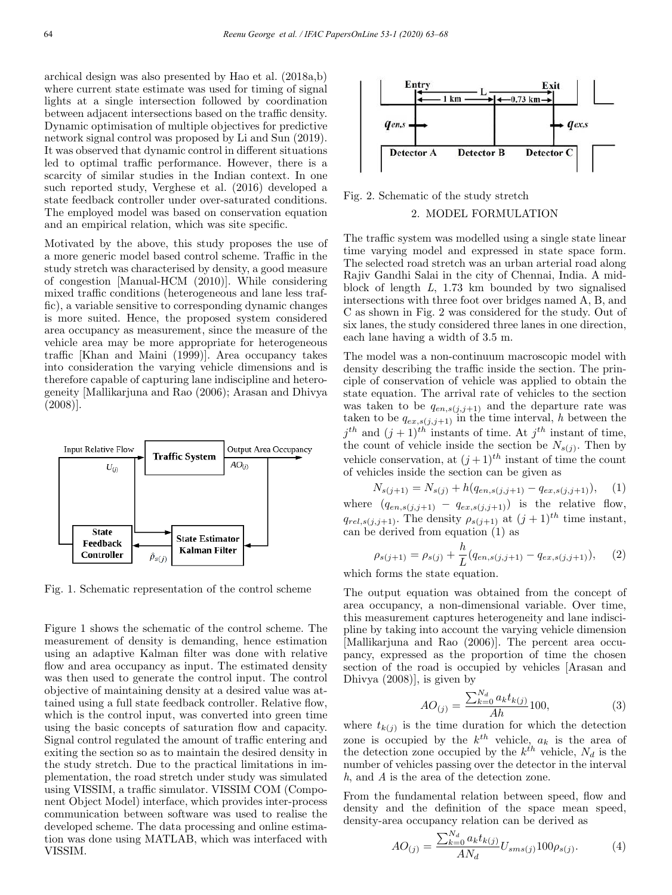archical design was also presented by Hao et al. (2018a,b) where current state estimate was used for timing of signal lights at a single intersection followed by coordination between adjacent intersections based on the traffic density. Dynamic optimisation of multiple objectives for predictive network signal control was proposed by Li and Sun (2019). It was observed that dynamic control in different situations led to optimal traffic performance. However, there is a scarcity of similar studies in the Indian context. In one such reported study, Verghese et al. (2016) developed a state feedback controller under over-saturated conditions. The employed model was based on conservation equation and an empirical relation, which was site specific.

Motivated by the above, this study proposes the use of a more generic model based control scheme. Traffic in the study stretch was characterised by density, a good measure of congestion [Manual-HCM (2010)]. While considering mixed traffic conditions (heterogeneous and lane less traffic), a variable sensitive to corresponding dynamic changes is more suited. Hence, the proposed system considered area occupancy as measurement, since the measure of the vehicle area may be more appropriate for heterogeneous traffic [Khan and Maini (1999)]. Area occupancy takes into consideration the varying vehicle dimensions and is therefore capable of capturing lane indiscipline and heterogeneity [Mallikarjuna and Rao (2006); Arasan and Dhivya (2008)].



Fig. 1. Schematic representation of the control scheme

Figure 1 shows the schematic of the control scheme. The measurement of density is demanding, hence estimation using an adaptive Kalman filter was done with relative flow and area occupancy as input. The estimated density was then used to generate the control input. The control objective of maintaining density at a desired value was attained using a full state feedback controller. Relative flow, which is the control input, was converted into green time using the basic concepts of saturation flow and capacity. Signal control regulated the amount of traffic entering and exiting the section so as to maintain the desired density in the study stretch. Due to the practical limitations in implementation, the road stretch under study was simulated using VISSIM, a traffic simulator. VISSIM COM (Component Object Model) interface, which provides inter-process communication between software was used to realise the developed scheme. The data processing and online estimation was done using MATLAB, which was interfaced with VISSIM.



Fig. 2. Schematic of the study stretch

# 2. MODEL FORMULATION

The traffic system was modelled using a single state linear time varying model and expressed in state space form. The selected road stretch was an urban arterial road along Rajiv Gandhi Salai in the city of Chennai, India. A midblock of length L, 1.73 km bounded by two signalised intersections with three foot over bridges named A, B, and C as shown in Fig. 2 was considered for the study. Out of six lanes, the study considered three lanes in one direction, each lane having a width of 3.5 m.

The model was a non-continuum macroscopic model with density describing the traffic inside the section. The principle of conservation of vehicle was applied to obtain the state equation. The arrival rate of vehicles to the section was taken to be  $q_{en,s(j,j+1)}$  and the departure rate was taken to be  $q_{ex,s(j,j+1)}$  in the time interval, h between the  $j^{th}$  and  $(j + 1)^{th}$  instants of time. At  $j^{th}$  instant of time, the count of vehicle inside the section be  $N_{s(j)}$ . Then by vehicle conservation, at  $(j+1)^{th}$  instant of time the count of vehicles inside the section can be given as

$$
N_{s(j+1)} = N_{s(j)} + h(q_{en,s(j,j+1)} - q_{ex,s(j,j+1)}),
$$
 (1)  
where  $(q_{en,s(j,j+1)} - q_{ex,s(j,j+1)})$  is the relative flow,  
 $q_{rel,s(j,i+1)}$ . The density  $\rho_{s(j+1)}$  at  $(j+1)^{th}$  time instant,

 $q_{rel,s(j,j+1)}$ . The density  $\rho_{s(j+1)}$  at  $(j+1)^{th}$  time instant, can be derived from equation (1) as

$$
\rho_{s(j+1)} = \rho_{s(j)} + \frac{h}{L}(q_{en,s(j,j+1)} - q_{ex,s(j,j+1)}), \quad (2)
$$

which forms the state equation.

The output equation was obtained from the concept of area occupancy, a non-dimensional variable. Over time, this measurement captures heterogeneity and lane indiscipline by taking into account the varying vehicle dimension [Mallikarjuna and Rao (2006)]. The percent area occupancy, expressed as the proportion of time the chosen section of the road is occupied by vehicles [Arasan and Dhivya (2008)], is given by

$$
AO_{(j)} = \frac{\sum_{k=0}^{N_d} a_k t_{k(j)}}{Ah} 100,
$$
\n(3)

where  $t_{k(j)}$  is the time duration for which the detection zone is occupied by the  $k^{th}$  vehicle,  $a_k$  is the area of the detection zone occupied by the  $k^{th}$  vehicle,  $N_d$  is the number of vehicles passing over the detector in the interval h, and A is the area of the detection zone.

From the fundamental relation between speed, flow and density and the definition of the space mean speed, density-area occupancy relation can be derived as

$$
AO_{(j)} = \frac{\sum_{k=0}^{N_d} a_k t_{k(j)}}{AN_d} U_{sms(j)} 100 \rho_{s(j)}.
$$
 (4)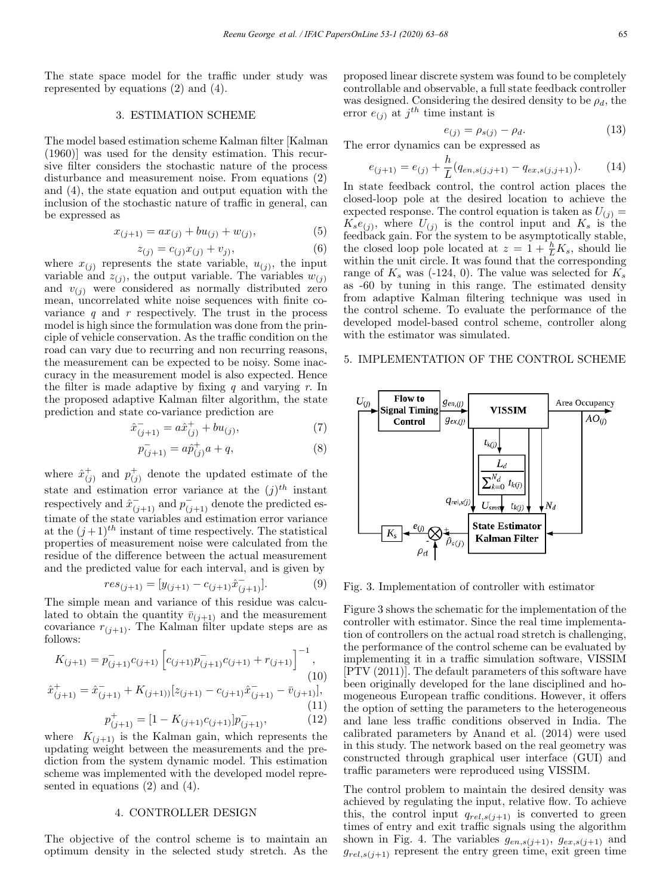The state space model for the traffic under study was represented by equations (2) and (4).

#### 3. ESTIMATION SCHEME

The model based estimation scheme Kalman filter [Kalman (1960)] was used for the density estimation. This recursive filter considers the stochastic nature of the process disturbance and measurement noise. From equations (2) and (4), the state equation and output equation with the inclusion of the stochastic nature of traffic in general, can be expressed as

$$
x_{(j+1)} = ax_{(j)} + bu_{(j)} + w_{(j)},
$$
\n(5)

$$
z_{(j)} = c_{(j)}x_{(j)} + v_j,
$$
\n(6)

where  $x_{(j)}$  represents the state variable,  $u_{(j)}$ , the input variable and  $z_{(j)}$ , the output variable. The variables  $w_{(j)}$ and  $v_{(i)}$  were considered as normally distributed zero mean, uncorrelated white noise sequences with finite covariance  $q$  and  $r$  respectively. The trust in the process model is high since the formulation was done from the principle of vehicle conservation. As the traffic condition on the road can vary due to recurring and non recurring reasons, the measurement can be expected to be noisy. Some inaccuracy in the measurement model is also expected. Hence the filter is made adaptive by fixing  $q$  and varying  $r$ . In the proposed adaptive Kalman filter algorithm, the state prediction and state co-variance prediction are

$$
\hat{x}_{(j+1)}^{-} = a\hat{x}_{(j)}^{+} + bu_{(j)},\tag{7}
$$

$$
p_{(j+1)}^- = a\hat{p}_{(j)}^+ a + q,\tag{8}
$$

where  $\hat{x}_{(j)}^+$  and  $p_{(j)}^+$  denote the updated estimate of the state and estimation error variance at the  $(j)^{th}$  instant respectively and  $\hat{x}_{(j+1)}^-$  and  $\hat{p}_{(j+1)}^-$  denote the predicted estimate of the state variables and estimation error variance at the  $(j+1)^{th}$  instant of time respectively. The statistical properties of measurement noise were calculated from the residue of the difference between the actual measurement and the predicted value for each interval, and is given by

$$
res_{(j+1)} = [y_{(j+1)} - c_{(j+1)}\hat{x}_{(j+1)}].
$$
\n(9)

The simple mean and variance of this residue was calculated to obtain the quantity  $\bar{v}_{(j+1)}$  and the measurement covariance  $r_{(j+1)}$ . The Kalman filter update steps are as follows:

$$
K_{(j+1)} = \bar{p}_{(j+1)}^- c_{(j+1)} \left[ c_{(j+1)} \bar{p}_{(j+1)}^- c_{(j+1)} + r_{(j+1)} \right]^{-1},
$$
\n(10)

$$
\hat{x}_{(j+1)}^+ = \hat{x}_{(j+1)}^- + K_{(j+1))}[z_{(j+1)} - c_{(j+1)}\hat{x}_{(j+1)}^- - \bar{v}_{(j+1)}],
$$
\n(11)

$$
p_{(j+1)}^{+} = [1 - K_{(j+1)}c_{(j+1)}]p_{(j+1)}^{-},
$$
\n(12)

where  $K_{(j+1)}$  is the Kalman gain, which represents the updating weight between the measurements and the prediction from the system dynamic model. This estimation scheme was implemented with the developed model represented in equations (2) and (4).

### 4. CONTROLLER DESIGN

The objective of the control scheme is to maintain an optimum density in the selected study stretch. As the proposed linear discrete system was found to be completely controllable and observable, a full state feedback controller was designed. Considering the desired density to be  $\rho_d$ , the error  $e_{(j)}$  at  $j^{th}$  time instant is

$$
e_{(j)} = \rho_{s(j)} - \rho_d.
$$
 (13)

The error dynamics can be expressed as

$$
e_{(j+1)} = e_{(j)} + \frac{h}{L}(q_{en,s(j,j+1)} - q_{ex,s(j,j+1)}).
$$
 (14)

In state feedback control, the control action places the closed-loop pole at the desired location to achieve the expected response. The control equation is taken as  $U_{(j)} =$  $K_s e_{(j)}$ , where  $U_{(j)}$  is the control input and  $K_s$  is the feedback gain. For the system to be asymptotically stable, the closed loop pole located at  $z = 1 + \frac{h}{L}K_s$ , should lie within the unit circle. It was found that the corresponding range of  $K_s$  was (-124, 0). The value was selected for  $K_s$ as -60 by tuning in this range. The estimated density from adaptive Kalman filtering technique was used in the control scheme. To evaluate the performance of the developed model-based control scheme, controller along with the estimator was simulated.

# 5. IMPLEMENTATION OF THE CONTROL SCHEME



Fig. 3. Implementation of controller with estimator

Figure 3 shows the schematic for the implementation of the controller with estimator. Since the real time implementation of controllers on the actual road stretch is challenging, the performance of the control scheme can be evaluated by implementing it in a traffic simulation software, VISSIM [PTV (2011)]. The default parameters of this software have been originally developed for the lane disciplined and homogeneous European traffic conditions. However, it offers the option of setting the parameters to the heterogeneous and lane less traffic conditions observed in India. The calibrated parameters by Anand et al. (2014) were used in this study. The network based on the real geometry was constructed through graphical user interface (GUI) and traffic parameters were reproduced using VISSIM.

The control problem to maintain the desired density was achieved by regulating the input, relative flow. To achieve this, the control input  $q_{rel,s(j+1)}$  is converted to green times of entry and exit traffic signals using the algorithm shown in Fig. 4. The variables  $g_{en,s(j+1)}, g_{ex,s(j+1)}$  and  $g_{rel,s(j+1)}$  represent the entry green time, exit green time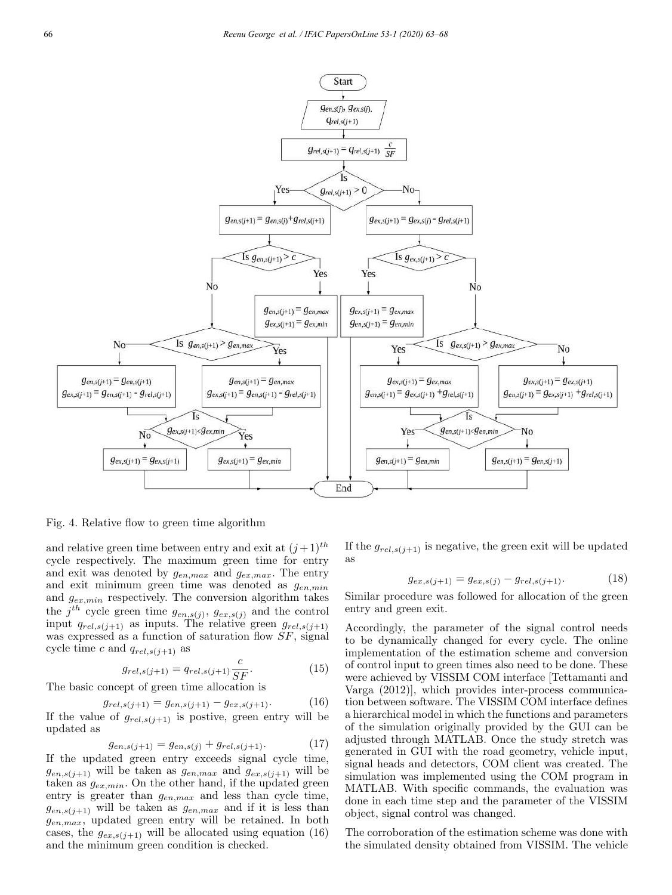

Fig. 4. Relative flow to green time algorithm

and relative green time between entry and exit at  $(j+1)$ <sup>th</sup> cycle respectively. The maximum green time for entry and exit was denoted by  $g_{en,max}$  and  $g_{ex,max}$ . The entry and exit minimum green time was denoted as  $g_{en,min}$ and  $g_{ex,min}$  respectively. The conversion algorithm takes the  $j^{th}$  cycle green time  $g_{en,s(j)}$ ,  $g_{ex,s(j)}$  and the control input  $q_{rel,s(j+1)}$  as inputs. The relative green  $g_{rel,s(j+1)}$ was expressed as a function of saturation flow  $SF$ , signal cycle time c and  $q_{rel,s(j+1)}$  as

$$
g_{rel,s(j+1)} = q_{rel,s(j+1)} \frac{c}{SF}.
$$
 (15)

The basic concept of green time allocation is

 $g_{rel,s(j+1)} = g_{en,s(j+1)} - g_{ex,s(j+1)}.$  (16) If the value of  $g_{rel,s(j+1)}$  is postive, green entry will be updated as

$$
g_{en,s(j+1)} = g_{en,s(j)} + g_{rel,s(j+1)}.
$$
 (17)

If the updated green entry exceeds signal cycle time,  $g_{en,s(j+1)}$  will be taken as  $g_{en,max}$  and  $g_{ex,s(j+1)}$  will be taken as  $g_{ex,min}$ . On the other hand, if the updated green entry is greater than  $g_{en,max}$  and less than cycle time,  $g_{en,s(j+1)}$  will be taken as  $g_{en,max}$  and if it is less than  $g_{en,max}$ , updated green entry will be retained. In both cases, the  $g_{ex,s(j+1)}$  will be allocated using equation (16) and the minimum green condition is checked.

If the  $g_{rel,s(j+1)}$  is negative, the green exit will be updated as

$$
g_{ex,s(j+1)} = g_{ex,s(j)} - g_{rel,s(j+1)}.
$$
 (18)

Similar procedure was followed for allocation of the green entry and green exit.

Accordingly, the parameter of the signal control needs to be dynamically changed for every cycle. The online implementation of the estimation scheme and conversion of control input to green times also need to be done. These were achieved by VISSIM COM interface [Tettamanti and Varga (2012)], which provides inter-process communication between software. The VISSIM COM interface defines a hierarchical model in which the functions and parameters of the simulation originally provided by the GUI can be adjusted through MATLAB. Once the study stretch was generated in GUI with the road geometry, vehicle input, signal heads and detectors, COM client was created. The simulation was implemented using the COM program in MATLAB. With specific commands, the evaluation was done in each time step and the parameter of the VISSIM object, signal control was changed.

The corroboration of the estimation scheme was done with the simulated density obtained from VISSIM. The vehicle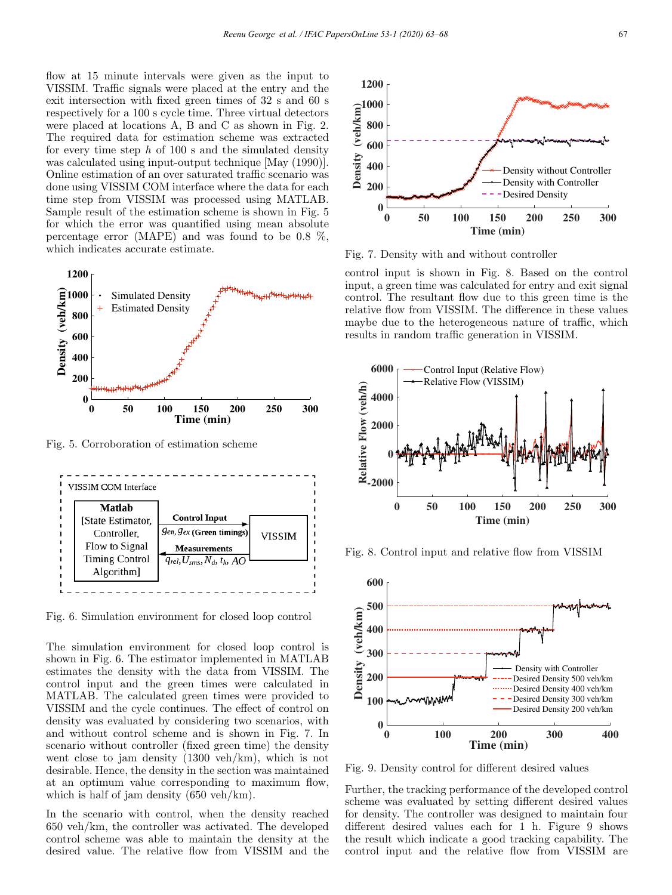flow at 15 minute intervals were given as the input to VISSIM. Traffic signals were placed at the entry and the exit intersection with fixed green times of 32 s and 60 s respectively for a 100 s cycle time. Three virtual detectors were placed at locations A, B and C as shown in Fig. 2. The required data for estimation scheme was extracted for every time step  $h$  of 100 s and the simulated density was calculated using input-output technique [May (1990)]. Online estimation of an over saturated traffic scenario was done using VISSIM COM interface where the data for each time step from VISSIM was processed using MATLAB. Sample result of the estimation scheme is shown in Fig. 5 for which the error was quantified using mean absolute percentage error (MAPE) and was found to be 0.8 %, which indicates accurate estimate.



Fig. 5. Corroboration of estimation scheme



Fig. 6. Simulation environment for closed loop control

The simulation environment for closed loop control is shown in Fig. 6. The estimator implemented in MATLAB estimates the density with the data from VISSIM. The control input and the green times were calculated in MATLAB. The calculated green times were provided to VISSIM and the cycle continues. The effect of control on density was evaluated by considering two scenarios, with and without control scheme and is shown in Fig. 7. In scenario without controller (fixed green time) the density went close to jam density (1300 veh/km), which is not desirable. Hence, the density in the section was maintained at an optimum value corresponding to maximum flow, which is half of jam density (650 veh/km).

In the scenario with control, when the density reached 650 veh/km, the controller was activated. The developed control scheme was able to maintain the density at the desired value. The relative flow from VISSIM and the



Fig. 7. Density with and without controller

control input is shown in Fig. 8. Based on the control input, a green time was calculated for entry and exit signal control. The resultant flow due to this green time is the relative flow from VISSIM. The difference in these values maybe due to the heterogeneous nature of traffic, which results in random traffic generation in VISSIM.



Fig. 8. Control input and relative flow from VISSIM



Fig. 9. Density control for different desired values

Further, the tracking performance of the developed control scheme was evaluated by setting different desired values for density. The controller was designed to maintain four different desired values each for 1 h. Figure 9 shows the result which indicate a good tracking capability. The control input and the relative flow from VISSIM are